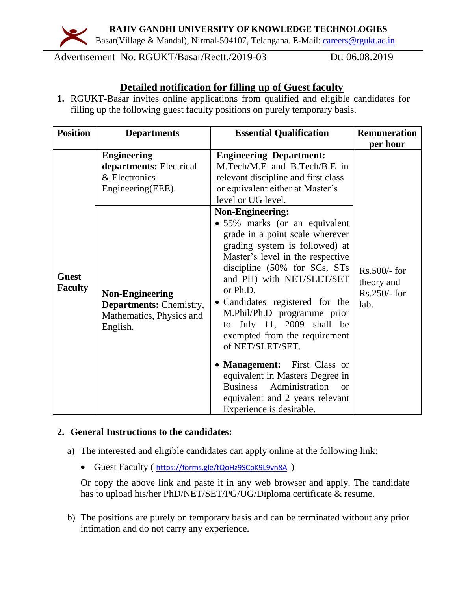**RAJIV GANDHI UNIVERSITY OF KNOWLEDGE TECHNOLOGIES**



Basar(Village & Mandal), Nirmal-504107, Telangana. E-Mail: [careers@rgukt.ac.in](mailto:careers@rgukt.ac.in)

Advertisement No. RGUKT/Basar/Rectt./2019-03 Dt: 06.08.2019

# **Detailed notification for filling up of Guest faculty**

**1.** RGUKT-Basar invites online applications from qualified and eligible candidates for filling up the following guest faculty positions on purely temporary basis.

| <b>Position</b>                | <b>Departments</b>                                                                               | <b>Essential Qualification</b>                                                                                                                                                                                                                                                                                                                                                                                                                                                                                                                                                    | <b>Remuneration</b>                                  |
|--------------------------------|--------------------------------------------------------------------------------------------------|-----------------------------------------------------------------------------------------------------------------------------------------------------------------------------------------------------------------------------------------------------------------------------------------------------------------------------------------------------------------------------------------------------------------------------------------------------------------------------------------------------------------------------------------------------------------------------------|------------------------------------------------------|
|                                |                                                                                                  |                                                                                                                                                                                                                                                                                                                                                                                                                                                                                                                                                                                   | per hour                                             |
|                                | <b>Engineering</b><br>departments: Electrical<br>& Electronics<br>Engineering(EEE).              | <b>Engineering Department:</b><br>M.Tech/M.E and B.Tech/B.E in<br>relevant discipline and first class<br>or equivalent either at Master's<br>level or UG level.                                                                                                                                                                                                                                                                                                                                                                                                                   |                                                      |
| <b>Guest</b><br><b>Faculty</b> | <b>Non-Engineering</b><br><b>Departments:</b> Chemistry,<br>Mathematics, Physics and<br>English. | <b>Non-Engineering:</b><br>· 55% marks (or an equivalent<br>grade in a point scale wherever<br>grading system is followed) at<br>Master's level in the respective<br>discipline (50% for SCs, STs<br>and PH) with NET/SLET/SET<br>or Ph.D.<br>• Candidates registered for the<br>M.Phil/Ph.D programme prior<br>to July 11, 2009 shall be<br>exempted from the requirement<br>of NET/SLET/SET.<br>• Management: First Class or<br>equivalent in Masters Degree in<br><b>Business</b><br>Administration<br>$\alpha$<br>equivalent and 2 years relevant<br>Experience is desirable. | Rs.500/- for<br>theory and<br>$Rs.250/-$ for<br>lab. |

### **2. General Instructions to the candidates:**

- a) The interested and eligible candidates can apply online at the following link:
	- Guest Faculty ( <https://forms.gle/tQoHz9SCpK9L9vn8A> )

Or copy the above link and paste it in any web browser and apply. The candidate has to upload his/her PhD/NET/SET/PG/UG/Diploma certificate & resume.

b) The positions are purely on temporary basis and can be terminated without any prior intimation and do not carry any experience.